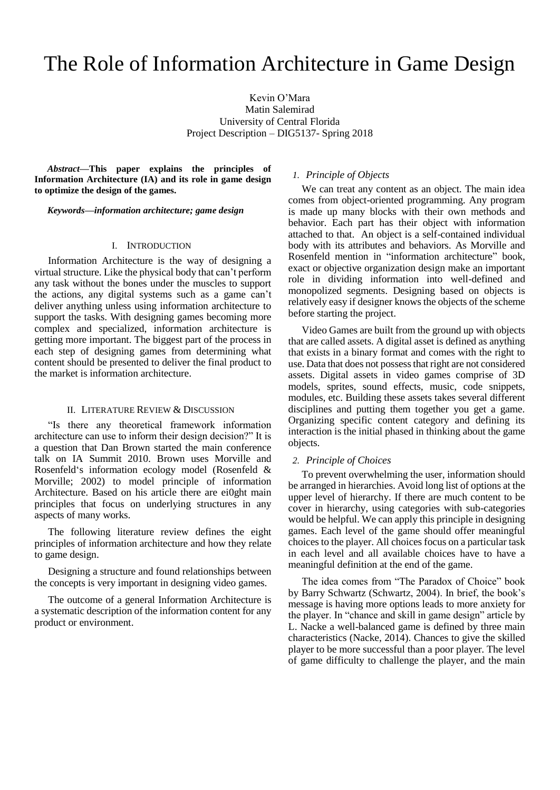# The Role of Information Architecture in Game Design

Kevin O'Mara Matin Salemirad University of Central Florida Project Description – DIG5137- Spring 2018

*Abstract***—This paper explains the principles of Information Architecture (IA) and its role in game design to optimize the design of the games.** 

*Keywords—information architecture; game design*

# I. INTRODUCTION

Information Architecture is the way of designing a virtual structure. Like the physical body that can't perform any task without the bones under the muscles to support the actions, any digital systems such as a game can't deliver anything unless using information architecture to support the tasks. With designing games becoming more complex and specialized, information architecture is getting more important. The biggest part of the process in each step of designing games from determining what content should be presented to deliver the final product to the market is information architecture.

# II. LITERATURE REVIEW & DISCUSSION

"Is there any theoretical framework information architecture can use to inform their design decision?" It is a question that Dan Brown started the main conference talk on IA Summit 2010. Brown uses Morville and Rosenfeld's information ecology model (Rosenfeld & Morville; 2002) to model principle of information Architecture. Based on his article there are ei0ght main principles that focus on underlying structures in any aspects of many works.

The following literature review defines the eight principles of information architecture and how they relate to game design.

Designing a structure and found relationships between the concepts is very important in designing video games.

The outcome of a general Information Architecture is a systematic description of the information content for any product or environment.

# *1. Principle of Objects*

We can treat any content as an object. The main idea comes from object-oriented programming. Any program is made up many blocks with their own methods and behavior. Each part has their object with information attached to that. An object is a self-contained individual body with its attributes and behaviors. As Morville and Rosenfeld mention in "information architecture" book, exact or objective organization design make an important role in dividing information into well-defined and monopolized segments. Designing based on objects is relatively easy if designer knows the objects of the scheme before starting the project.

Video Games are built from the ground up with objects that are called assets. A digital asset is defined as anything that exists in a binary format and comes with the right to use. Data that does not possess that right are not considered assets. Digital assets in video games comprise of 3D models, sprites, sound effects, music, code snippets, modules, etc. Building these assets takes several different disciplines and putting them together you get a game. Organizing specific content category and defining its interaction is the initial phased in thinking about the game objects.

#### *2. Principle of Choices*

To prevent overwhelming the user, information should be arranged in hierarchies. Avoid long list of options at the upper level of hierarchy. If there are much content to be cover in hierarchy, using categories with sub-categories would be helpful. We can apply this principle in designing games. Each level of the game should offer meaningful choices to the player. All choices focus on a particular task in each level and all available choices have to have a meaningful definition at the end of the game.

The idea comes from "The Paradox of Choice" book by Barry Schwartz (Schwartz, 2004). In brief, the book's message is having more options leads to more anxiety for the player. In "chance and skill in game design" article by L. Nacke a well-balanced game is defined by three main characteristics (Nacke, 2014). Chances to give the skilled player to be more successful than a poor player. The level of game difficulty to challenge the player, and the main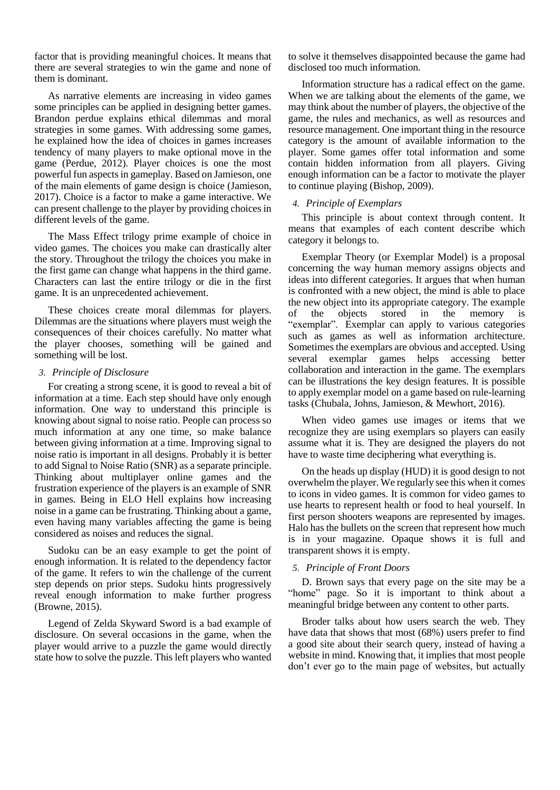factor that is providing meaningful choices. It means that there are several strategies to win the game and none of them is dominant.

As narrative elements are increasing in video games some principles can be applied in designing better games. Brandon perdue explains ethical dilemmas and moral strategies in some games. With addressing some games, he explained how the idea of choices in games increases tendency of many players to make optional move in the game (Perdue, 2012). Player choices is one the most powerful fun aspects in gameplay. Based on Jamieson, one of the main elements of game design is choice (Jamieson, 2017). Choice is a factor to make a game interactive. We can present challenge to the player by providing choices in different levels of the game.

The Mass Effect trilogy prime example of choice in video games. The choices you make can drastically alter the story. Throughout the trilogy the choices you make in the first game can change what happens in the third game. Characters can last the entire trilogy or die in the first game. It is an unprecedented achievement.

These choices create moral dilemmas for players. Dilemmas are the situations where players must weigh the consequences of their choices carefully. No matter what the player chooses, something will be gained and something will be lost.

# *3. Principle of Disclosure*

For creating a strong scene, it is good to reveal a bit of information at a time. Each step should have only enough information. One way to understand this principle is knowing about signal to noise ratio. People can process so much information at any one time, so make balance between giving information at a time. Improving signal to noise ratio is important in all designs. Probably it is better to add Signal to Noise Ratio (SNR) as a separate principle. Thinking about multiplayer online games and the frustration experience of the players is an example of SNR in games. Being in ELO Hell explains how increasing noise in a game can be frustrating. Thinking about a game, even having many variables affecting the game is being considered as noises and reduces the signal.

Sudoku can be an easy example to get the point of enough information. It is related to the dependency factor of the game. It refers to win the challenge of the current step depends on prior steps. Sudoku hints progressively reveal enough information to make further progress (Browne, 2015).

Legend of Zelda Skyward Sword is a bad example of disclosure. On several occasions in the game, when the player would arrive to a puzzle the game would directly state how to solve the puzzle. This left players who wanted

to solve it themselves disappointed because the game had disclosed too much information.

Information structure has a radical effect on the game. When we are talking about the elements of the game, we may think about the number of players, the objective of the game, the rules and mechanics, as well as resources and resource management. One important thing in the resource category is the amount of available information to the player. Some games offer total information and some contain hidden information from all players. Giving enough information can be a factor to motivate the player to continue playing (Bishop, 2009).

# *4. Principle of Exemplars*

This principle is about context through content. It means that examples of each content describe which category it belongs to.

Exemplar Theory (or Exemplar Model) is a proposal concerning the way human memory assigns objects and ideas into different categories. It argues that when human is confronted with a new object, the mind is able to place the new object into its appropriate category. The example of the objects stored in the memory is "exemplar". Exemplar can apply to various categories such as games as well as information architecture. Sometimes the exemplars are obvious and accepted. Using several exemplar games helps accessing better collaboration and interaction in the game. The exemplars can be illustrations the key design features. It is possible to apply exemplar model on a game based on rule-learning tasks (Chubala, Johns, Jamieson, & Mewhort, 2016).

When video games use images or items that we recognize they are using exemplars so players can easily assume what it is. They are designed the players do not have to waste time deciphering what everything is.

On the heads up display (HUD) it is good design to not overwhelm the player. We regularly see this when it comes to icons in video games. It is common for video games to use hearts to represent health or food to heal yourself. In first person shooters weapons are represented by images. Halo has the bullets on the screen that represent how much is in your magazine. Opaque shows it is full and transparent shows it is empty.

#### *5. Principle of Front Doors*

D. Brown says that every page on the site may be a "home" page. So it is important to think about a meaningful bridge between any content to other parts.

Broder talks about how users search the web. They have data that shows that most (68%) users prefer to find a good site about their search query, instead of having a website in mind. Knowing that, it implies that most people don't ever go to the main page of websites, but actually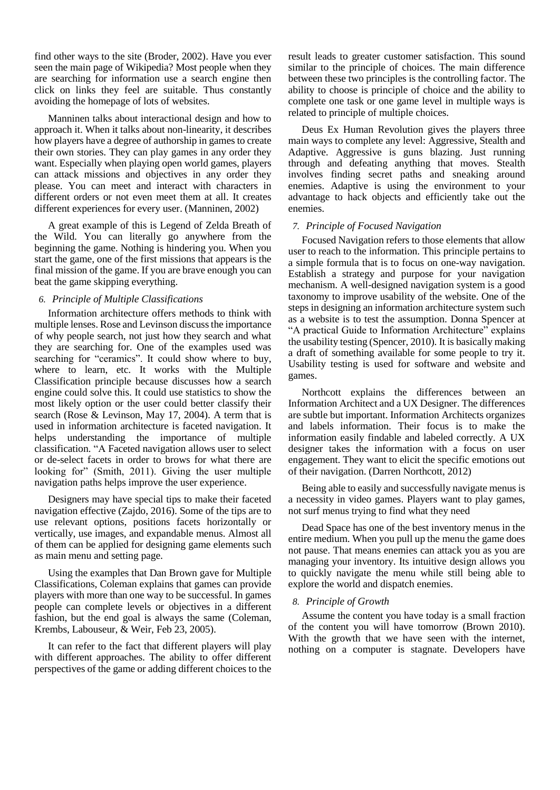find other ways to the site (Broder, 2002). Have you ever seen the main page of Wikipedia? Most people when they are searching for information use a search engine then click on links they feel are suitable. Thus constantly avoiding the homepage of lots of websites.

Manninen talks about interactional design and how to approach it. When it talks about non-linearity, it describes how players have a degree of authorship in games to create their own stories. They can play games in any order they want. Especially when playing open world games, players can attack missions and objectives in any order they please. You can meet and interact with characters in different orders or not even meet them at all. It creates different experiences for every user. (Manninen, 2002)

A great example of this is Legend of Zelda Breath of the Wild. You can literally go anywhere from the beginning the game. Nothing is hindering you. When you start the game, one of the first missions that appears is the final mission of the game. If you are brave enough you can beat the game skipping everything.

# *6. Principle of Multiple Classifications*

Information architecture offers methods to think with multiple lenses. Rose and Levinson discuss the importance of why people search, not just how they search and what they are searching for. One of the examples used was searching for "ceramics". It could show where to buy, where to learn, etc. It works with the Multiple Classification principle because discusses how a search engine could solve this. It could use statistics to show the most likely option or the user could better classify their search (Rose & Levinson, May 17, 2004). A term that is used in information architecture is faceted navigation. It helps understanding the importance of multiple classification. "A Faceted navigation allows user to select or de-select facets in order to brows for what there are looking for" (Smith, 2011). Giving the user multiple navigation paths helps improve the user experience.

Designers may have special tips to make their faceted navigation effective (Zajdo, 2016). Some of the tips are to use relevant options, positions facets horizontally or vertically, use images, and expandable menus. Almost all of them can be applied for designing game elements such as main menu and setting page.

Using the examples that Dan Brown gave for Multiple Classifications, Coleman explains that games can provide players with more than one way to be successful. In games people can complete levels or objectives in a different fashion, but the end goal is always the same (Coleman, Krembs, Labouseur, & Weir, Feb 23, 2005).

It can refer to the fact that different players will play with different approaches. The ability to offer different perspectives of the game or adding different choices to the

result leads to greater customer satisfaction. This sound similar to the principle of choices. The main difference between these two principles is the controlling factor. The ability to choose is principle of choice and the ability to complete one task or one game level in multiple ways is related to principle of multiple choices.

Deus Ex Human Revolution gives the players three main ways to complete any level: Aggressive, Stealth and Adaptive. Aggressive is guns blazing. Just running through and defeating anything that moves. Stealth involves finding secret paths and sneaking around enemies. Adaptive is using the environment to your advantage to hack objects and efficiently take out the enemies.

# *7. Principle of Focused Navigation*

Focused Navigation refers to those elements that allow user to reach to the information. This principle pertains to a simple formula that is to focus on one-way navigation. Establish a strategy and purpose for your navigation mechanism. A well-designed navigation system is a good taxonomy to improve usability of the website. One of the steps in designing an information architecture system such as a website is to test the assumption. Donna Spencer at "A practical Guide to Information Architecture" explains the usability testing (Spencer, 2010). It is basically making a draft of something available for some people to try it. Usability testing is used for software and website and games.

Northcott explains the differences between an Information Architect and a UX Designer. The differences are subtle but important. Information Architects organizes and labels information. Their focus is to make the information easily findable and labeled correctly. A UX designer takes the information with a focus on user engagement. They want to elicit the specific emotions out of their navigation. (Darren Northcott, 2012)

Being able to easily and successfully navigate menus is a necessity in video games. Players want to play games, not surf menus trying to find what they need

Dead Space has one of the best inventory menus in the entire medium. When you pull up the menu the game does not pause. That means enemies can attack you as you are managing your inventory. Its intuitive design allows you to quickly navigate the menu while still being able to explore the world and dispatch enemies.

# *8. Principle of Growth*

Assume the content you have today is a small fraction of the content you will have tomorrow (Brown 2010). With the growth that we have seen with the internet, nothing on a computer is stagnate. Developers have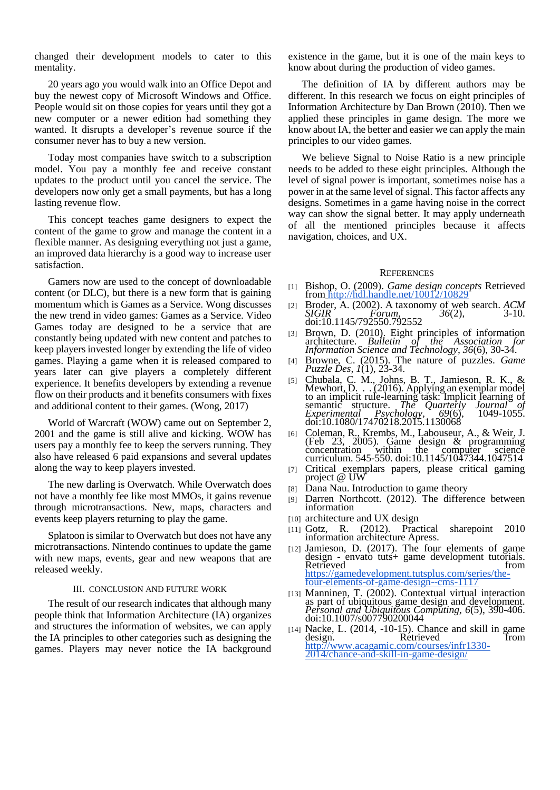changed their development models to cater to this mentality.

20 years ago you would walk into an Office Depot and buy the newest copy of Microsoft Windows and Office. People would sit on those copies for years until they got a new computer or a newer edition had something they wanted. It disrupts a developer's revenue source if the consumer never has to buy a new version.

Today most companies have switch to a subscription model. You pay a monthly fee and receive constant updates to the product until you cancel the service. The developers now only get a small payments, but has a long lasting revenue flow.

This concept teaches game designers to expect the content of the game to grow and manage the content in a flexible manner. As designing everything not just a game, an improved data hierarchy is a good way to increase user satisfaction.

Gamers now are used to the concept of downloadable content (or DLC), but there is a new form that is gaining momentum which is Games as a Service. Wong discusses the new trend in video games: Games as a Service. Video Games today are designed to be a service that are constantly being updated with new content and patches to keep players invested longer by extending the life of video games. Playing a game when it is released compared to years later can give players a completely different experience. It benefits developers by extending a revenue flow on their products and it benefits consumers with fixes and additional content to their games. (Wong, 2017)

World of Warcraft (WOW) came out on September 2, 2001 and the game is still alive and kicking. WOW has users pay a monthly fee to keep the servers running. They also have released 6 paid expansions and several updates along the way to keep players invested.

The new darling is Overwatch. While Overwatch does not have a monthly fee like most MMOs, it gains revenue through microtransactions. New, maps, characters and events keep players returning to play the game.

Splatoon is similar to Overwatch but does not have any microtransactions. Nintendo continues to update the game with new maps, events, gear and new weapons that are released weekly.

#### III. CONCLUSION AND FUTURE WORK

The result of our research indicates that although many people think that Information Architecture (IA) organizes and structures the information of websites, we can apply the IA principles to other categories such as designing the games. Players may never notice the IA background existence in the game, but it is one of the main keys to know about during the production of video games.

The definition of IA by different authors may be different. In this research we focus on eight principles of Information Architecture by Dan Brown (2010). Then we applied these principles in game design. The more we know about IA, the better and easier we can apply the main principles to our video games.

We believe Signal to Noise Ratio is a new principle needs to be added to these eight principles. Although the level of signal power is important, sometimes noise has a power in at the same level of signal. This factor affects any designs. Sometimes in a game having noise in the correct way can show the signal better. It may apply underneath of all the mentioned principles because it affects navigation, choices, and UX.

#### **REFERENCES**

- [1] Bishop, O. (2009). *Game design concepts* Retrieved from <http://hdl.handle.net/10012/10829>
- [2] Broder, A. (2002). A taxonomy of web search. *ACM SIGIR Forum, 36(2),* 3-10. doi:10.1145/792550.792552
- [3] Brown, D. (2010). Eight principles of information architecture. *Bulletin of the Association for Information Science and Technology, 36*(6), 30-34.
- [4] Browne, C. (2015). The nature of puzzles. *Game Puzzle Des, 1*(1), 23-34.
- [5] Chubala, C. M., Johns, B. T., Jamieson, R. K., & Mewhort, D. . . (2016). Applying an exemplar model to an implicit rule-learning task: Implicit learning of semantic structure. *The Quarterly Journal of Experimental Psychology, 69*(6), 1049-1055. doi:10.1080/17470218.2015.1130068
- [6] Coleman, R., Krembs, M., Labouseur, A., & Weir, J. (Feb 23, 2005). Game design & programming concentration within the computer science curriculum. 545-550. doi:10.1145/1047344.1047514
- [7] Critical exemplars papers, please critical gaming project @ UW
- Dana Nau. Introduction to game theory
- Darren Northcott. (2012). The difference between information
- [10] architecture and UX design
- [11] Gotz, R. (2012). Practical sharepoint 2010 information architecture Apress.
- [12] Jamieson, D. (2017). The four elements of game design - envato tuts+ game development tutorials. Retrieved fro[m](https://gamedevelopment.tutsplus.com/series/the-four-elements-of-game-design--cms-1117)  $\epsilon$ [https://gamedevelopment.tutsplus.com/series/the](https://gamedevelopment.tutsplus.com/series/the-four-elements-of-game-design--cms-1117)[four-elements-of-game-design--cms-1117](https://gamedevelopment.tutsplus.com/series/the-four-elements-of-game-design--cms-1117)
- [13] Manninen, T. (2002). Contextual virtual interaction as part of ubiquitous game design and development. *Personal and Ubiquitous Computing, 6*(5), 390-406. doi:10.1007/s007790200044
- [14] Nacke, L. (2014, -10-15). Chance and skill in game Retrieved Fro[m](http://www.acagamic.com/courses/infr1330-2014/chance-and-skill-in-game-design/) [http://www.acagamic.com/courses/infr1330-](http://www.acagamic.com/courses/infr1330-2014/chance-and-skill-in-game-design/) [2014/chance-and-skill-in-game-design/](http://www.acagamic.com/courses/infr1330-2014/chance-and-skill-in-game-design/)